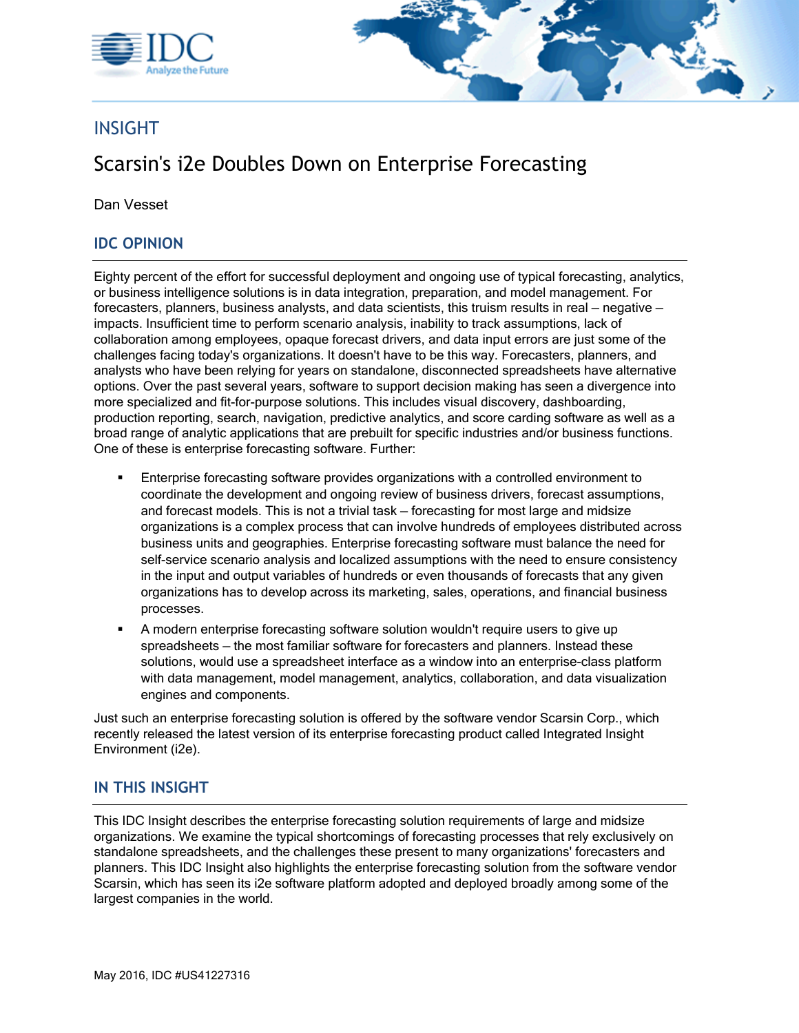



# INSIGHT

# Scarsin's i2e Doubles Down on Enterprise Forecasting

Dan Vesset

#### **IDC OPINION**

Eighty percent of the effort for successful deployment and ongoing use of typical forecasting, analytics, or business intelligence solutions is in data integration, preparation, and model management. For forecasters, planners, business analysts, and data scientists, this truism results in real — negative impacts. Insufficient time to perform scenario analysis, inability to track assumptions, lack of collaboration among employees, opaque forecast drivers, and data input errors are just some of the challenges facing today's organizations. It doesn't have to be this way. Forecasters, planners, and analysts who have been relying for years on standalone, disconnected spreadsheets have alternative options. Over the past several years, software to support decision making has seen a divergence into more specialized and fit-for-purpose solutions. This includes visual discovery, dashboarding, production reporting, search, navigation, predictive analytics, and score carding software as well as a broad range of analytic applications that are prebuilt for specific industries and/or business functions. One of these is enterprise forecasting software. Further:

- Enterprise forecasting software provides organizations with a controlled environment to coordinate the development and ongoing review of business drivers, forecast assumptions, and forecast models. This is not a trivial task — forecasting for most large and midsize organizations is a complex process that can involve hundreds of employees distributed across business units and geographies. Enterprise forecasting software must balance the need for self-service scenario analysis and localized assumptions with the need to ensure consistency in the input and output variables of hundreds or even thousands of forecasts that any given organizations has to develop across its marketing, sales, operations, and financial business processes.
- A modern enterprise forecasting software solution wouldn't require users to give up spreadsheets — the most familiar software for forecasters and planners. Instead these solutions, would use a spreadsheet interface as a window into an enterprise-class platform with data management, model management, analytics, collaboration, and data visualization engines and components.

Just such an enterprise forecasting solution is offered by the software vendor Scarsin Corp., which recently released the latest version of its enterprise forecasting product called Integrated Insight Environment (i2e).

#### **IN THIS INSIGHT**

This IDC Insight describes the enterprise forecasting solution requirements of large and midsize organizations. We examine the typical shortcomings of forecasting processes that rely exclusively on standalone spreadsheets, and the challenges these present to many organizations' forecasters and planners. This IDC Insight also highlights the enterprise forecasting solution from the software vendor Scarsin, which has seen its i2e software platform adopted and deployed broadly among some of the largest companies in the world.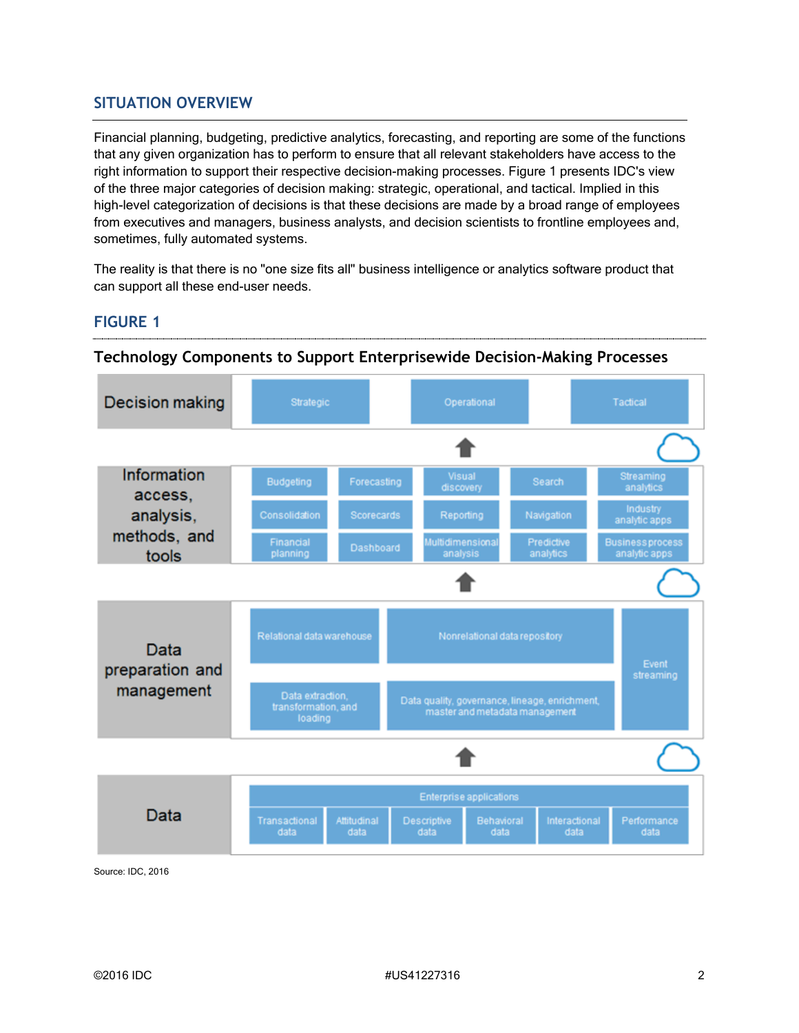### **SITUATION OVERVIEW**

Financial planning, budgeting, predictive analytics, forecasting, and reporting are some of the functions that any given organization has to perform to ensure that all relevant stakeholders have access to the right information to support their respective decision-making processes. Figure 1 presents IDC's view of the three major categories of decision making: strategic, operational, and tactical. Implied in this high-level categorization of decisions is that these decisions are made by a broad range of employees from executives and managers, business analysts, and decision scientists to frontline employees and, sometimes, fully automated systems.

The reality is that there is no "one size fits all" business intelligence or analytics software product that can support all these end-user needs.

### **FIGURE 1**



#### **Technology Components to Support Enterprisewide Decision-Making Processes**

Source: IDC, 2016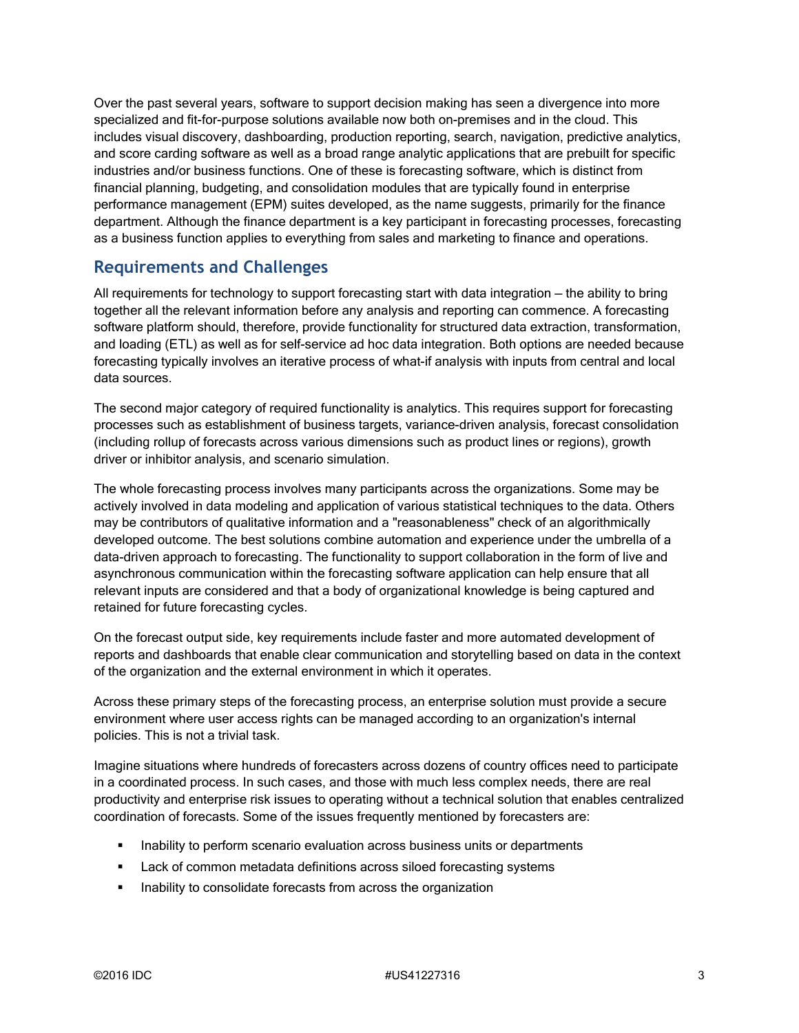Over the past several years, software to support decision making has seen a divergence into more specialized and fit-for-purpose solutions available now both on-premises and in the cloud. This includes visual discovery, dashboarding, production reporting, search, navigation, predictive analytics, and score carding software as well as a broad range analytic applications that are prebuilt for specific industries and/or business functions. One of these is forecasting software, which is distinct from financial planning, budgeting, and consolidation modules that are typically found in enterprise performance management (EPM) suites developed, as the name suggests, primarily for the finance department. Although the finance department is a key participant in forecasting processes, forecasting as a business function applies to everything from sales and marketing to finance and operations.

### **Requirements and Challenges**

All requirements for technology to support forecasting start with data integration — the ability to bring together all the relevant information before any analysis and reporting can commence. A forecasting software platform should, therefore, provide functionality for structured data extraction, transformation, and loading (ETL) as well as for self-service ad hoc data integration. Both options are needed because forecasting typically involves an iterative process of what-if analysis with inputs from central and local data sources.

The second major category of required functionality is analytics. This requires support for forecasting processes such as establishment of business targets, variance-driven analysis, forecast consolidation (including rollup of forecasts across various dimensions such as product lines or regions), growth driver or inhibitor analysis, and scenario simulation.

The whole forecasting process involves many participants across the organizations. Some may be actively involved in data modeling and application of various statistical techniques to the data. Others may be contributors of qualitative information and a "reasonableness" check of an algorithmically developed outcome. The best solutions combine automation and experience under the umbrella of a data-driven approach to forecasting. The functionality to support collaboration in the form of live and asynchronous communication within the forecasting software application can help ensure that all relevant inputs are considered and that a body of organizational knowledge is being captured and retained for future forecasting cycles.

On the forecast output side, key requirements include faster and more automated development of reports and dashboards that enable clear communication and storytelling based on data in the context of the organization and the external environment in which it operates.

Across these primary steps of the forecasting process, an enterprise solution must provide a secure environment where user access rights can be managed according to an organization's internal policies. This is not a trivial task.

Imagine situations where hundreds of forecasters across dozens of country offices need to participate in a coordinated process. In such cases, and those with much less complex needs, there are real productivity and enterprise risk issues to operating without a technical solution that enables centralized coordination of forecasts. Some of the issues frequently mentioned by forecasters are:

- **Inability to perform scenario evaluation across business units or departments**
- **Lack of common metadata definitions across siloed forecasting systems**
- **Inability to consolidate forecasts from across the organization**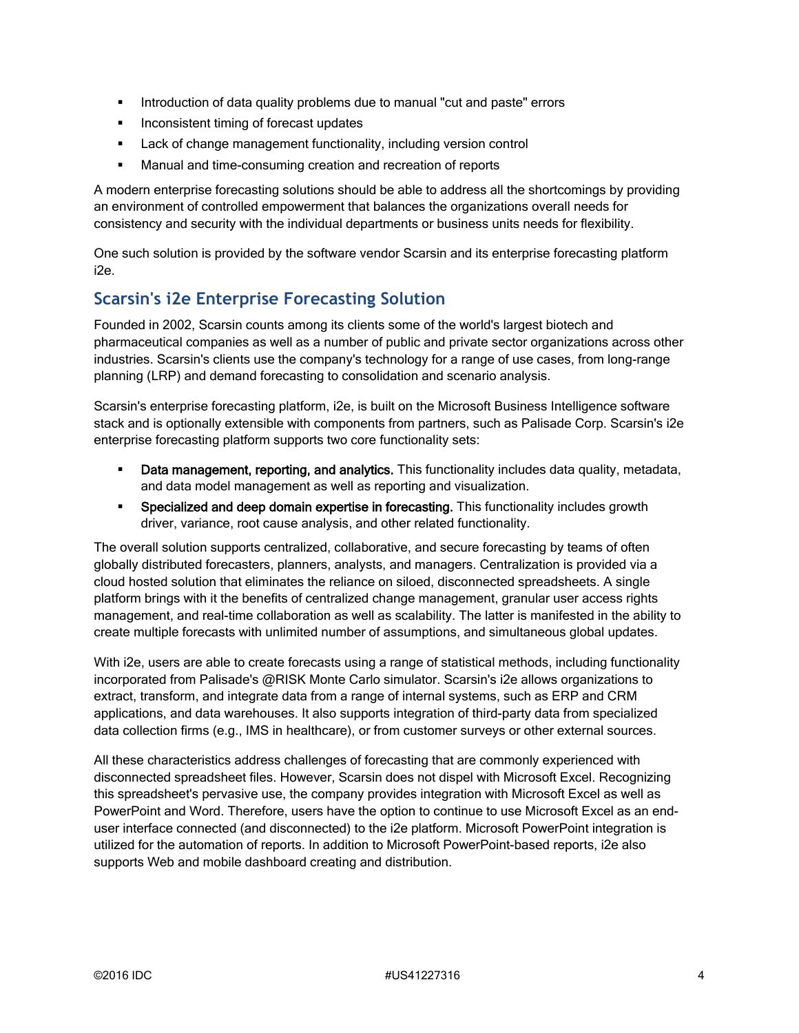- **Introduction of data quality problems due to manual "cut and paste" errors**
- **Inconsistent timing of forecast updates**
- **EXEC** Lack of change management functionality, including version control
- Manual and time-consuming creation and recreation of reports

A modern enterprise forecasting solutions should be able to address all the shortcomings by providing an environment of controlled empowerment that balances the organizations overall needs for consistency and security with the individual departments or business units needs for flexibility.

One such solution is provided by the software vendor Scarsin and its enterprise forecasting platform i2e.

## **Scarsin's i2e Enterprise Forecasting Solution**

Founded in 2002, Scarsin counts among its clients some of the world's largest biotech and pharmaceutical companies as well as a number of public and private sector organizations across other industries. Scarsin's clients use the company's technology for a range of use cases, from long-range planning (LRP) and demand forecasting to consolidation and scenario analysis.

Scarsin's enterprise forecasting platform, i2e, is built on the Microsoft Business Intelligence software stack and is optionally extensible with components from partners, such as Palisade Corp. Scarsin's i2e enterprise forecasting platform supports two core functionality sets:

- **Data management, reporting, and analytics.** This functionality includes data quality, metadata, and data model management as well as reporting and visualization.
- Specialized and deep domain expertise in forecasting. This functionality includes growth driver, variance, root cause analysis, and other related functionality.

The overall solution supports centralized, collaborative, and secure forecasting by teams of often globally distributed forecasters, planners, analysts, and managers. Centralization is provided via a cloud hosted solution that eliminates the reliance on siloed, disconnected spreadsheets. A single platform brings with it the benefits of centralized change management, granular user access rights management, and real-time collaboration as well as scalability. The latter is manifested in the ability to create multiple forecasts with unlimited number of assumptions, and simultaneous global updates.

With i2e, users are able to create forecasts using a range of statistical methods, including functionality incorporated from Palisade's @RISK Monte Carlo simulator. Scarsin's i2e allows organizations to extract, transform, and integrate data from a range of internal systems, such as ERP and CRM applications, and data warehouses. It also supports integration of third-party data from specialized data collection firms (e.g., IMS in healthcare), or from customer surveys or other external sources.

All these characteristics address challenges of forecasting that are commonly experienced with disconnected spreadsheet files. However, Scarsin does not dispel with Microsoft Excel. Recognizing this spreadsheet's pervasive use, the company provides integration with Microsoft Excel as well as PowerPoint and Word. Therefore, users have the option to continue to use Microsoft Excel as an enduser interface connected (and disconnected) to the i2e platform. Microsoft PowerPoint integration is utilized for the automation of reports. In addition to Microsoft PowerPoint-based reports, i2e also supports Web and mobile dashboard creating and distribution.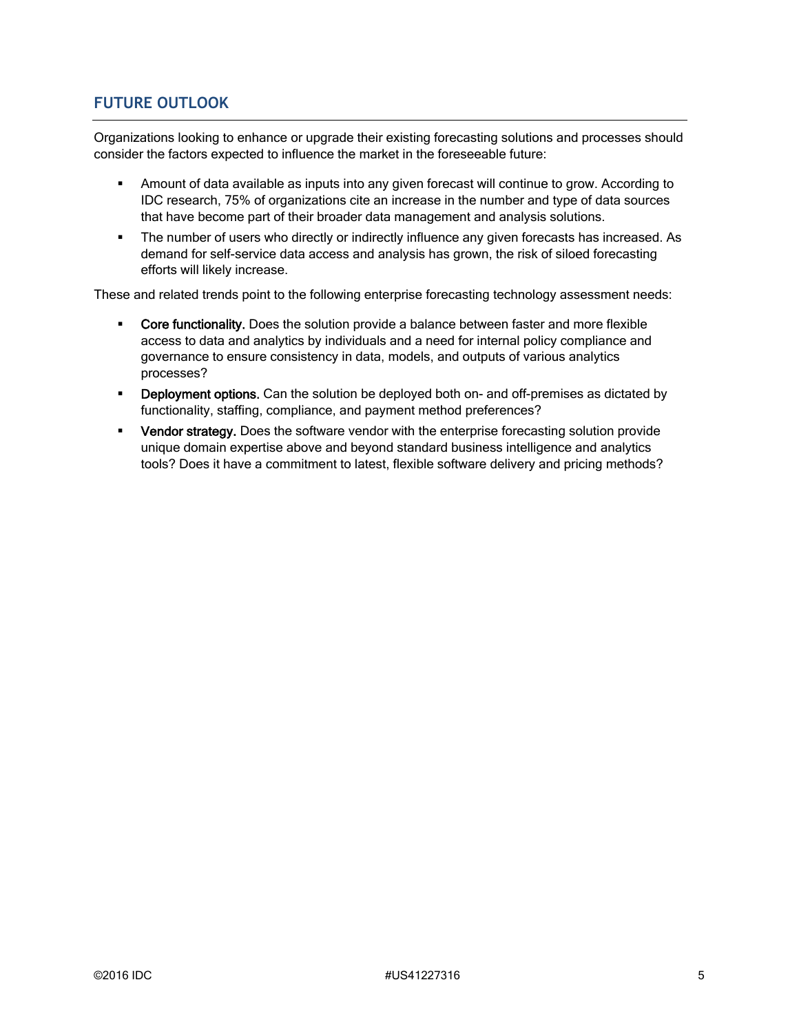## **FUTURE OUTLOOK**

Organizations looking to enhance or upgrade their existing forecasting solutions and processes should consider the factors expected to influence the market in the foreseeable future:

- Amount of data available as inputs into any given forecast will continue to grow. According to IDC research, 75% of organizations cite an increase in the number and type of data sources that have become part of their broader data management and analysis solutions.
- The number of users who directly or indirectly influence any given forecasts has increased. As demand for self-service data access and analysis has grown, the risk of siloed forecasting efforts will likely increase.

These and related trends point to the following enterprise forecasting technology assessment needs:

- Core functionality. Does the solution provide a balance between faster and more flexible access to data and analytics by individuals and a need for internal policy compliance and governance to ensure consistency in data, models, and outputs of various analytics processes?
- **-** Deployment options. Can the solution be deployed both on- and off-premises as dictated by functionality, staffing, compliance, and payment method preferences?
- Vendor strategy. Does the software vendor with the enterprise forecasting solution provide unique domain expertise above and beyond standard business intelligence and analytics tools? Does it have a commitment to latest, flexible software delivery and pricing methods?